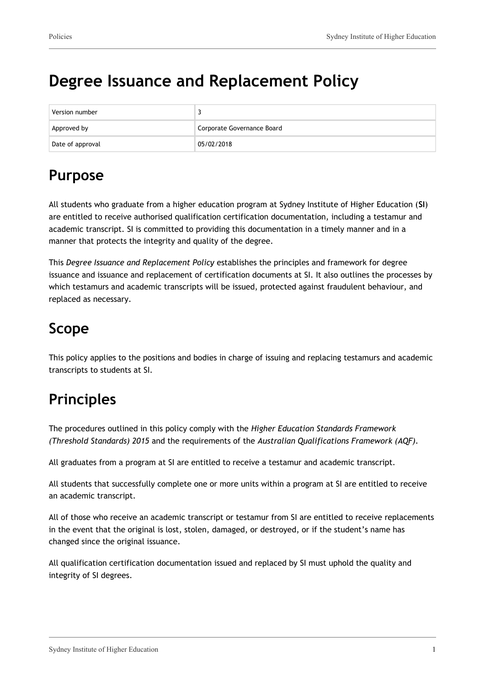# **Degree Issuance and Replacement Policy**

| Version number   |                            |
|------------------|----------------------------|
| Approved by      | Corporate Governance Board |
| Date of approval | 05/02/2018                 |

# **Purpose**

All students who graduate from a higher education program at Sydney Institute of Higher Education (**SI**) are entitled to receive authorised qualification certification documentation, including a testamur and academic transcript. SI is committed to providing this documentation in a timely manner and in a manner that protects the integrity and quality of the degree.

This *Degree Issuance and Replacement Policy* establishes the principles and framework for degree issuance and issuance and replacement of certification documents at SI. It also outlines the processes by which testamurs and academic transcripts will be issued, protected against fraudulent behaviour, and replaced as necessary.

# **Scope**

This policy applies to the positions and bodies in charge of issuing and replacing testamurs and academic transcripts to students at SI.

# **Principles**

The procedures outlined in this policy comply with the *Higher Education Standards Framework (Threshold Standards) 2015* and the requirements of the *Australian Qualifications Framework (AQF).*

All graduates from a program at SI are entitled to receive a testamur and academic transcript.

All students that successfully complete one or more units within a program at SI are entitled to receive an academic transcript.

All of those who receive an academic transcript or testamur from SI are entitled to receive replacements in the event that the original is lost, stolen, damaged, or destroyed, or if the student's name has changed since the original issuance.

All qualification certification documentation issued and replaced by SI must uphold the quality and integrity of SI degrees.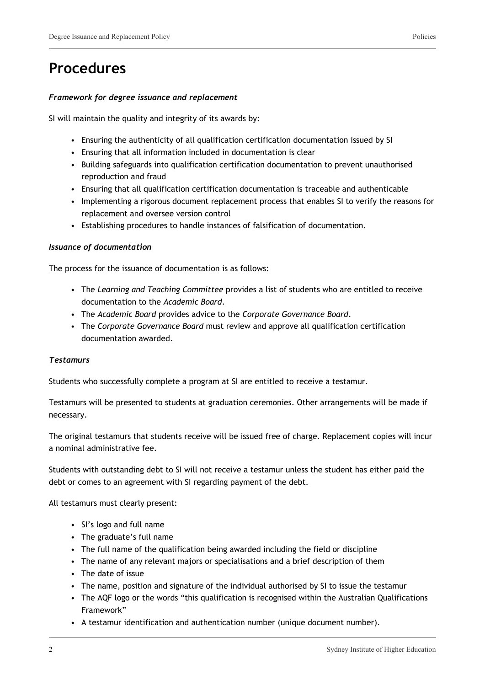## **Procedures**

### *Framework for degree issuance and replacement*

SI will maintain the quality and integrity of its awards by:

- Ensuring the authenticity of all qualification certification documentation issued by SI
- Ensuring that all information included in documentation is clear
- Building safeguards into qualification certification documentation to prevent unauthorised reproduction and fraud
- Ensuring that all qualification certification documentation is traceable and authenticable
- Implementing a rigorous document replacement process that enables SI to verify the reasons for replacement and oversee version control
- Establishing procedures to handle instances of falsification of documentation.

### *Issuance of documentation*

The process for the issuance of documentation is as follows:

- The *Learning and Teaching Committee* provides a list of students who are entitled to receive documentation to the *Academic Board*.
- The *Academic Board* provides advice to the *Corporate Governance Board*.
- The *Corporate Governance Board* must review and approve all qualification certification documentation awarded.

### *Testamurs*

Students who successfully complete a program at SI are entitled to receive a testamur.

Testamurs will be presented to students at graduation ceremonies. Other arrangements will be made if necessary.

The original testamurs that students receive will be issued free of charge. Replacement copies will incur a nominal administrative fee.

Students with outstanding debt to SI will not receive a testamur unless the student has either paid the debt or comes to an agreement with SI regarding payment of the debt.

All testamurs must clearly present:

- SI's logo and full name
- The graduate's full name
- The full name of the qualification being awarded including the field or discipline
- The name of any relevant majors or specialisations and a brief description of them
- The date of issue
- The name, position and signature of the individual authorised by SI to issue the testamur
- The AQF logo or the words "this qualification is recognised within the Australian Qualifications Framework"
- A testamur identification and authentication number (unique document number).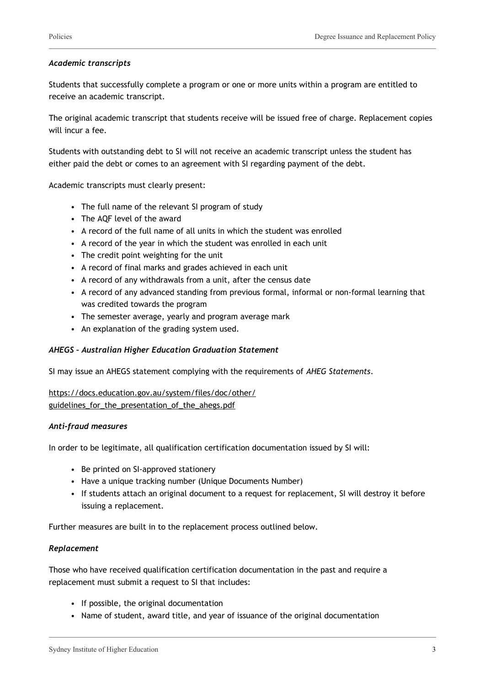### *Academic transcripts*

Students that successfully complete a program or one or more units within a program are entitled to receive an academic transcript.

The original academic transcript that students receive will be issued free of charge. Replacement copies will incur a fee.

Students with outstanding debt to SI will not receive an academic transcript unless the student has either paid the debt or comes to an agreement with SI regarding payment of the debt.

Academic transcripts must clearly present:

- The full name of the relevant SI program of study
- The AQF level of the award
- A record of the full name of all units in which the student was enrolled
- A record of the year in which the student was enrolled in each unit
- The credit point weighting for the unit
- A record of final marks and grades achieved in each unit
- A record of any withdrawals from a unit, after the census date
- A record of any advanced standing from previous formal, informal or non-formal learning that was credited towards the program
- The semester average, yearly and program average mark
- An explanation of the grading system used.

### *AHEGS – Australian Higher Education Graduation Statement*

SI may issue an AHEGS statement complying with the requirements of *AHEG Statements*.

### [https://docs.education.gov.au/system/files/doc/other/](https://docs.education.gov.au/system/files/doc/other/guidelines_for_the_presentation_of_the_ahegs.pdf) [guidelines\\_for\\_the\\_presentation\\_of\\_the\\_ahegs.pdf](https://docs.education.gov.au/system/files/doc/other/guidelines_for_the_presentation_of_the_ahegs.pdf)

### *Anti-fraud measures*

In order to be legitimate, all qualification certification documentation issued by SI will:

- Be printed on SI-approved stationery
- Have a unique tracking number (Unique Documents Number)
- If students attach an original document to a request for replacement, SI will destroy it before issuing a replacement.

Further measures are built in to the replacement process outlined below.

### *Replacement*

Those who have received qualification certification documentation in the past and require a replacement must submit a request to SI that includes:

- If possible, the original documentation
- Name of student, award title, and year of issuance of the original documentation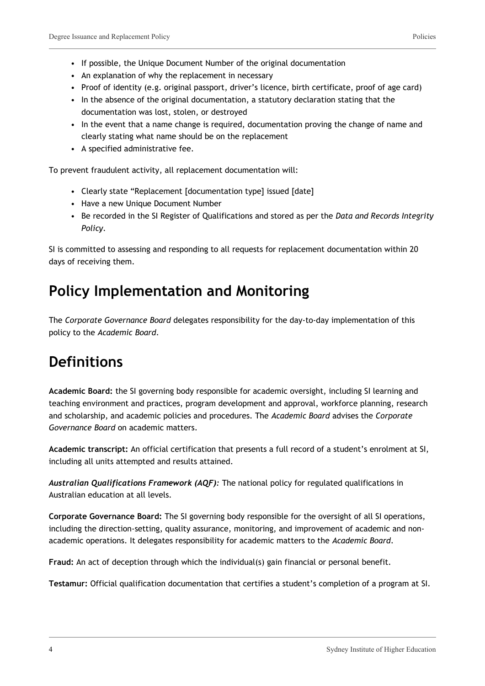- If possible, the Unique Document Number of the original documentation
- An explanation of why the replacement in necessary
- Proof of identity (e.g. original passport, driver's licence, birth certificate, proof of age card)
- In the absence of the original documentation, a statutory declaration stating that the documentation was lost, stolen, or destroyed
- In the event that a name change is required, documentation proving the change of name and clearly stating what name should be on the replacement
- A specified administrative fee.

To prevent fraudulent activity, all replacement documentation will:

- Clearly state "Replacement [documentation type] issued [date]
- Have a new Unique Document Number
- Be recorded in the SI Register of Qualifications and stored as per the *Data and Records Integrity Policy.*

SI is committed to assessing and responding to all requests for replacement documentation within 20 days of receiving them.

## **Policy Implementation and Monitoring**

The *Corporate Governance Board* delegates responsibility for the day-to-day implementation of this policy to the *Academic Board*.

## **Definitions**

**Academic Board:** the SI governing body responsible for academic oversight, including SI learning and teaching environment and practices, program development and approval, workforce planning, research and scholarship, and academic policies and procedures. The *Academic Board* advises the *Corporate Governance Board* on academic matters.

**Academic transcript:** An official certification that presents a full record of a student's enrolment at SI, including all units attempted and results attained.

*Australian Qualifications Framework (AQF):* The national policy for regulated qualifications in Australian education at all levels.

**Corporate Governance Board:** The SI governing body responsible for the oversight of all SI operations, including the direction-setting, quality assurance, monitoring, and improvement of academic and nonacademic operations. It delegates responsibility for academic matters to the *Academic Board*.

**Fraud:** An act of deception through which the individual(s) gain financial or personal benefit.

**Testamur:** Official qualification documentation that certifies a student's completion of a program at SI.